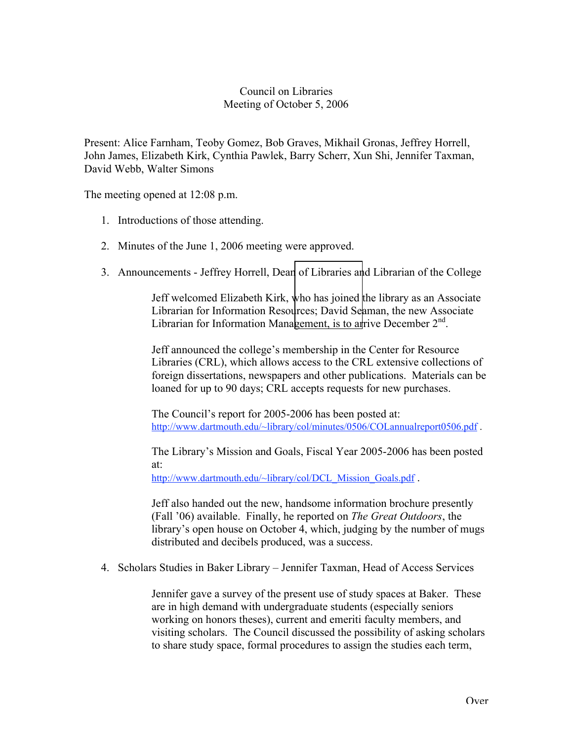## Council on Libraries Meeting of October 5, 2006

Present: Alice Farnham, Teoby Gomez, Bob Graves, Mikhail Gronas, Jeffrey Horrell, John James, Elizabeth Kirk, Cynthia Pawlek, Barry Scherr, Xun Shi, Jennifer Taxman, David Webb, Walter Simons

The meeting opened at 12:08 p.m.

- 1. Introductions of those attending.
- 2. Minutes of the June 1, 2006 meeting were approved.
- 3. Announcements Jeffrey Horrell, Dean of Libraries and Librarian of the College

Jeff welcomed Elizabeth Kirk, who has joined the library as an Associate Librarian for Information Resources; David Seaman, the new Associate Librarian for Information Management, is to arrive December  $2<sup>nd</sup>$ .

Jeff announced the college's membership in the Center for Resource Libraries (CRL), which allows access to the CRL extensive collections of foreign dissertations, newspapers and other publications. Materials can be loaned for up to 90 days; CRL accepts requests for new purchases.

The Council's report for 2005-2006 has been posted at: http://www.dartmouth.edu/~library/col/minutes/0506/COLannualreport0506.pdf .

The Library's Mission and Goals, Fiscal Year 2005-2006 has been posted at:

http://www.dartmouth.edu/~library/col/DCL\_Mission\_Goals.pdf.

Jeff also handed out the new, handsome information brochure presently (Fall '06) available. Finally, he reported on *The Great Outdoors*, the library's open house on October 4, which, judging by the number of mugs distributed and decibels produced, was a success.

4. Scholars Studies in Baker Library – Jennifer Taxman, Head of Access Services

Jennifer gave a survey of the present use of study spaces at Baker. These are in high demand with undergraduate students (especially seniors working on honors theses), current and emeriti faculty members, and visiting scholars. The Council discussed the possibility of asking scholars to share study space, formal procedures to assign the studies each term,